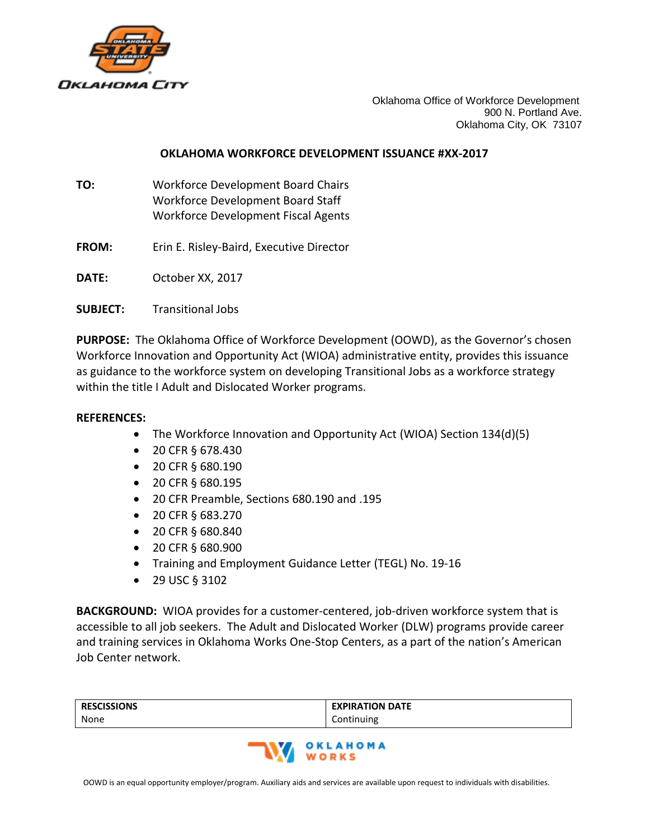

Oklahoma Office of Workforce Development 900 N. Portland Ave. Oklahoma City, OK 73107

## **OKLAHOMA WORKFORCE DEVELOPMENT ISSUANCE #XX-2017**

- **TO:** Workforce Development Board Chairs Workforce Development Board Staff Workforce Development Fiscal Agents
- **FROM:** Erin E. Risley-Baird, Executive Director

**DATE:** October XX, 2017

**SUBJECT:** Transitional Jobs

**PURPOSE:** The Oklahoma Office of Workforce Development (OOWD), as the Governor's chosen Workforce Innovation and Opportunity Act (WIOA) administrative entity, provides this issuance as guidance to the workforce system on developing Transitional Jobs as a workforce strategy within the title I Adult and Dislocated Worker programs.

## **REFERENCES:**

- The Workforce Innovation and Opportunity Act (WIOA) Section 134(d)(5)
- 20 CFR § 678.430
- 20 CFR § 680.190
- 20 CFR § 680.195
- 20 CFR Preamble, Sections 680.190 and .195
- 20 CFR § 683.270
- 20 CFR § 680.840
- 20 CFR § 680.900
- Training and Employment Guidance Letter (TEGL) No. 19-16
- 29 USC § 3102

**BACKGROUND:** WIOA provides for a customer-centered, job-driven workforce system that is accessible to all job seekers. The Adult and Dislocated Worker (DLW) programs provide career and training services in Oklahoma Works One-Stop Centers, as a part of the nation's American Job Center network.

| <b>RESCISSIONS</b> | <b>EXPIRATION DATE</b> |
|--------------------|------------------------|
| None               | Continuing             |

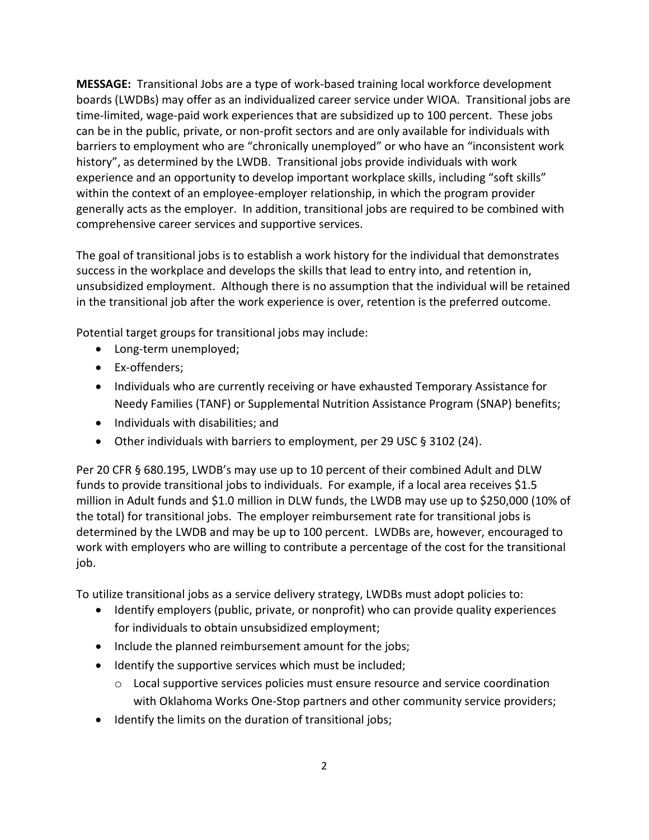**MESSAGE:** Transitional Jobs are a type of work-based training local workforce development boards (LWDBs) may offer as an individualized career service under WIOA. Transitional jobs are time-limited, wage-paid work experiences that are subsidized up to 100 percent. These jobs can be in the public, private, or non-profit sectors and are only available for individuals with barriers to employment who are "chronically unemployed" or who have an "inconsistent work history", as determined by the LWDB. Transitional jobs provide individuals with work experience and an opportunity to develop important workplace skills, including "soft skills" within the context of an employee-employer relationship, in which the program provider generally acts as the employer. In addition, transitional jobs are required to be combined with comprehensive career services and supportive services.

The goal of transitional jobs is to establish a work history for the individual that demonstrates success in the workplace and develops the skills that lead to entry into, and retention in, unsubsidized employment. Although there is no assumption that the individual will be retained in the transitional job after the work experience is over, retention is the preferred outcome.

Potential target groups for transitional jobs may include:

- Long-term unemployed;
- Ex-offenders;
- Individuals who are currently receiving or have exhausted Temporary Assistance for Needy Families (TANF) or Supplemental Nutrition Assistance Program (SNAP) benefits;
- Individuals with disabilities; and
- Other individuals with barriers to employment, per 29 USC § 3102 (24).

Per 20 CFR § 680.195, LWDB's may use up to 10 percent of their combined Adult and DLW funds to provide transitional jobs to individuals. For example, if a local area receives \$1.5 million in Adult funds and \$1.0 million in DLW funds, the LWDB may use up to \$250,000 (10% of the total) for transitional jobs. The employer reimbursement rate for transitional jobs is determined by the LWDB and may be up to 100 percent. LWDBs are, however, encouraged to work with employers who are willing to contribute a percentage of the cost for the transitional job.

To utilize transitional jobs as a service delivery strategy, LWDBs must adopt policies to:

- Identify employers (public, private, or nonprofit) who can provide quality experiences for individuals to obtain unsubsidized employment;
- Include the planned reimbursement amount for the jobs;
- Identify the supportive services which must be included;
	- $\circ$  Local supportive services policies must ensure resource and service coordination with Oklahoma Works One-Stop partners and other community service providers;
- Identify the limits on the duration of transitional jobs;